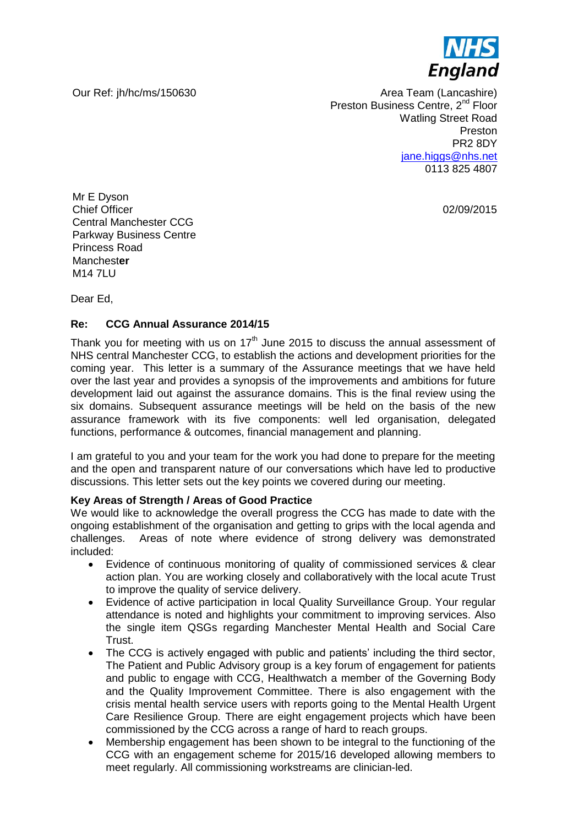

Our Ref: jh/hc/ms/150630 Area Team (Lancashire) Preston Business Centre, 2<sup>nd</sup> Floor Watling Street Road Preston PR2 8DY [jane.higgs@nhs.net](mailto:jane.higgs@nhs.net) 0113 825 4807

02/09/2015

Mr E Dyson Chief Officer Central Manchester CCG Parkway Business Centre Princess Road Manchest**er** M<sub>14</sub> 7LU

Dear Ed,

## **Re: CCG Annual Assurance 2014/15**

Thank you for meeting with us on  $17<sup>th</sup>$  June 2015 to discuss the annual assessment of NHS central Manchester CCG, to establish the actions and development priorities for the coming year. This letter is a summary of the Assurance meetings that we have held over the last year and provides a synopsis of the improvements and ambitions for future development laid out against the assurance domains. This is the final review using the six domains. Subsequent assurance meetings will be held on the basis of the new assurance framework with its five components: well led organisation, delegated functions, performance & outcomes, financial management and planning.

I am grateful to you and your team for the work you had done to prepare for the meeting and the open and transparent nature of our conversations which have led to productive discussions. This letter sets out the key points we covered during our meeting.

## **Key Areas of Strength / Areas of Good Practice**

We would like to acknowledge the overall progress the CCG has made to date with the ongoing establishment of the organisation and getting to grips with the local agenda and challenges. Areas of note where evidence of strong delivery was demonstrated included:

- Evidence of continuous monitoring of quality of commissioned services & clear action plan. You are working closely and collaboratively with the local acute Trust to improve the quality of service delivery.
- Evidence of active participation in local Quality Surveillance Group. Your regular attendance is noted and highlights your commitment to improving services. Also the single item QSGs regarding Manchester Mental Health and Social Care Trust.
- The CCG is actively engaged with public and patients' including the third sector, The Patient and Public Advisory group is a key forum of engagement for patients and public to engage with CCG, Healthwatch a member of the Governing Body and the Quality Improvement Committee. There is also engagement with the crisis mental health service users with reports going to the Mental Health Urgent Care Resilience Group. There are eight engagement projects which have been commissioned by the CCG across a range of hard to reach groups.
- Membership engagement has been shown to be integral to the functioning of the CCG with an engagement scheme for 2015/16 developed allowing members to meet regularly. All commissioning workstreams are clinician-led.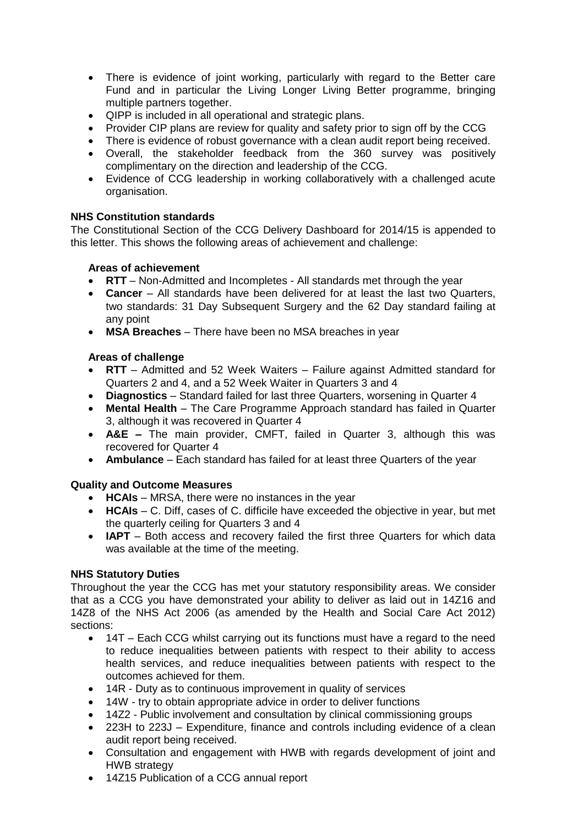- There is evidence of joint working, particularly with regard to the Better care Fund and in particular the Living Longer Living Better programme, bringing multiple partners together.
- QIPP is included in all operational and strategic plans.
- Provider CIP plans are review for quality and safety prior to sign off by the CCG
- There is evidence of robust governance with a clean audit report being received.
- Overall, the stakeholder feedback from the 360 survey was positively complimentary on the direction and leadership of the CCG.
- Evidence of CCG leadership in working collaboratively with a challenged acute organisation.

## **NHS Constitution standards**

The Constitutional Section of the CCG Delivery Dashboard for 2014/15 is appended to this letter. This shows the following areas of achievement and challenge:

#### **Areas of achievement**

- **RTT** Non-Admitted and Incompletes All standards met through the year
- **Cancer** All standards have been delivered for at least the last two Quarters, two standards: 31 Day Subsequent Surgery and the 62 Day standard failing at any point
- **MSA Breaches** There have been no MSA breaches in year

## **Areas of challenge**

- **RTT** Admitted and 52 Week Waiters Failure against Admitted standard for Quarters 2 and 4, and a 52 Week Waiter in Quarters 3 and 4
- **Diagnostics**  Standard failed for last three Quarters, worsening in Quarter 4
- **Mental Health** The Care Programme Approach standard has failed in Quarter 3, although it was recovered in Quarter 4
- **A&E –** The main provider, CMFT, failed in Quarter 3, although this was recovered for Quarter 4
- **Ambulance** Each standard has failed for at least three Quarters of the year

## **Quality and Outcome Measures**

- **HCAIs** MRSA, there were no instances in the year
- **HCAIs**  C. Diff, cases of C. difficile have exceeded the objective in year, but met the quarterly ceiling for Quarters 3 and 4
- **IAPT**  Both access and recovery failed the first three Quarters for which data was available at the time of the meeting.

## **NHS Statutory Duties**

Throughout the year the CCG has met your statutory responsibility areas. We consider that as a CCG you have demonstrated your ability to deliver as laid out in 14Z16 and 14Z8 of the NHS Act 2006 (as amended by the Health and Social Care Act 2012) sections:

- 14T Each CCG whilst carrying out its functions must have a regard to the need to reduce inequalities between patients with respect to their ability to access health services, and reduce inequalities between patients with respect to the outcomes achieved for them.
- 14R Duty as to continuous improvement in quality of services
- 14W try to obtain appropriate advice in order to deliver functions
- 14Z2 Public involvement and consultation by clinical commissioning groups
- 223H to 223J Expenditure, finance and controls including evidence of a clean audit report being received.
- Consultation and engagement with HWB with regards development of joint and HWB strategy
- 14Z15 Publication of a CCG annual report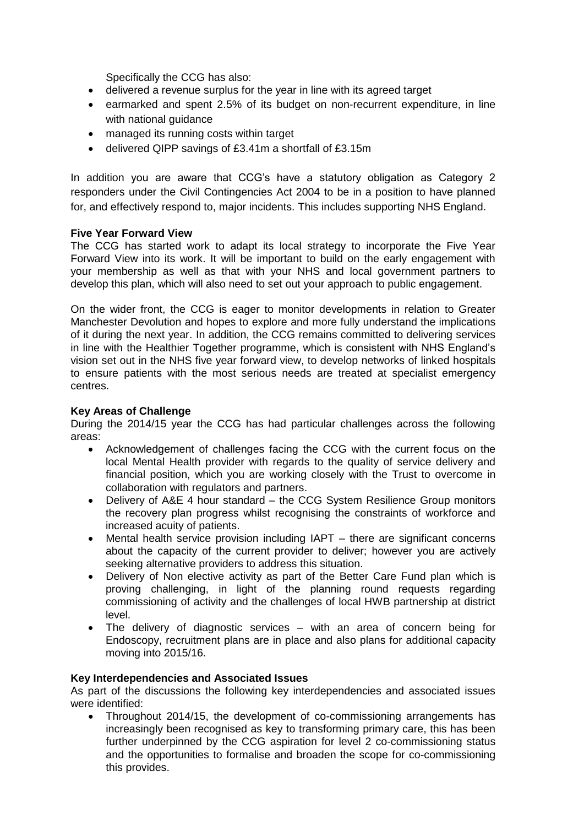Specifically the CCG has also:

- delivered a revenue surplus for the year in line with its agreed target
- earmarked and spent 2.5% of its budget on non-recurrent expenditure, in line with national guidance
- managed its running costs within target
- delivered QIPP savings of £3.41m a shortfall of £3.15m

In addition you are aware that CCG's have a statutory obligation as Category 2 responders under the Civil Contingencies Act 2004 to be in a position to have planned for, and effectively respond to, major incidents. This includes supporting NHS England.

## **Five Year Forward View**

The CCG has started work to adapt its local strategy to incorporate the Five Year Forward View into its work. It will be important to build on the early engagement with your membership as well as that with your NHS and local government partners to develop this plan, which will also need to set out your approach to public engagement.

On the wider front, the CCG is eager to monitor developments in relation to Greater Manchester Devolution and hopes to explore and more fully understand the implications of it during the next year. In addition, the CCG remains committed to delivering services in line with the Healthier Together programme, which is consistent with NHS England's vision set out in the NHS five year forward view, to develop networks of linked hospitals to ensure patients with the most serious needs are treated at specialist emergency centres.

## **Key Areas of Challenge**

During the 2014/15 year the CCG has had particular challenges across the following areas:

- Acknowledgement of challenges facing the CCG with the current focus on the local Mental Health provider with regards to the quality of service delivery and financial position, which you are working closely with the Trust to overcome in collaboration with regulators and partners.
- Delivery of A&E 4 hour standard the CCG System Resilience Group monitors the recovery plan progress whilst recognising the constraints of workforce and increased acuity of patients.
- Mental health service provision including IAPT there are significant concerns about the capacity of the current provider to deliver; however you are actively seeking alternative providers to address this situation.
- Delivery of Non elective activity as part of the Better Care Fund plan which is proving challenging, in light of the planning round requests regarding commissioning of activity and the challenges of local HWB partnership at district level.
- The delivery of diagnostic services with an area of concern being for Endoscopy, recruitment plans are in place and also plans for additional capacity moving into 2015/16.

## **Key Interdependencies and Associated Issues**

As part of the discussions the following key interdependencies and associated issues were identified:

 Throughout 2014/15, the development of co-commissioning arrangements has increasingly been recognised as key to transforming primary care, this has been further underpinned by the CCG aspiration for level 2 co-commissioning status and the opportunities to formalise and broaden the scope for co-commissioning this provides.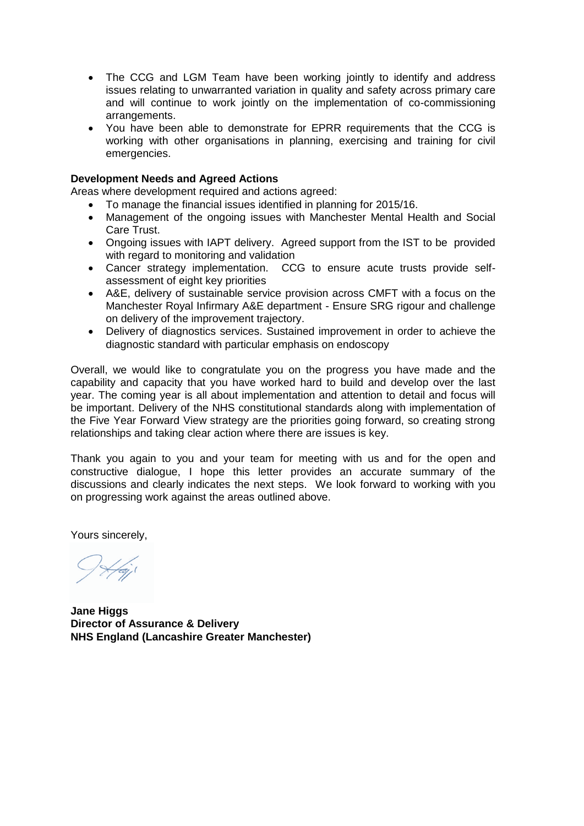- The CCG and LGM Team have been working jointly to identify and address issues relating to unwarranted variation in quality and safety across primary care and will continue to work jointly on the implementation of co-commissioning arrangements.
- You have been able to demonstrate for EPRR requirements that the CCG is working with other organisations in planning, exercising and training for civil emergencies.

#### **Development Needs and Agreed Actions**

Areas where development required and actions agreed:

- To manage the financial issues identified in planning for 2015/16.
- Management of the ongoing issues with Manchester Mental Health and Social Care Trust.
- Ongoing issues with IAPT delivery. Agreed support from the IST to be provided with regard to monitoring and validation
- Cancer strategy implementation. CCG to ensure acute trusts provide selfassessment of eight key priorities
- A&E, delivery of sustainable service provision across CMFT with a focus on the Manchester Royal Infirmary A&E department - Ensure SRG rigour and challenge on delivery of the improvement trajectory.
- Delivery of diagnostics services. Sustained improvement in order to achieve the diagnostic standard with particular emphasis on endoscopy

Overall, we would like to congratulate you on the progress you have made and the capability and capacity that you have worked hard to build and develop over the last year. The coming year is all about implementation and attention to detail and focus will be important. Delivery of the NHS constitutional standards along with implementation of the Five Year Forward View strategy are the priorities going forward, so creating strong relationships and taking clear action where there are issues is key.

Thank you again to you and your team for meeting with us and for the open and constructive dialogue, I hope this letter provides an accurate summary of the discussions and clearly indicates the next steps. We look forward to working with you on progressing work against the areas outlined above.

Yours sincerely,

**Jane Higgs Director of Assurance & Delivery NHS England (Lancashire Greater Manchester)**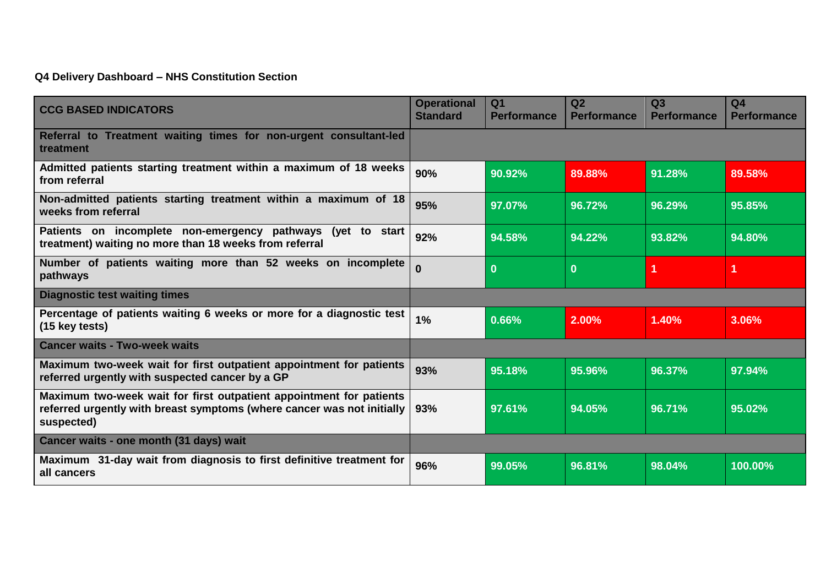# **Q4 Delivery Dashboard – NHS Constitution Section**

| <b>CCG BASED INDICATORS</b>                                                                                                                                 | <b>Operational</b><br><b>Standard</b> | Q <sub>1</sub><br><b>Performance</b> | Q2<br><b>Performance</b> | Q3<br><b>Performance</b> | Q <sub>4</sub><br><b>Performance</b> |
|-------------------------------------------------------------------------------------------------------------------------------------------------------------|---------------------------------------|--------------------------------------|--------------------------|--------------------------|--------------------------------------|
| Referral to Treatment waiting times for non-urgent consultant-led<br>treatment                                                                              |                                       |                                      |                          |                          |                                      |
| Admitted patients starting treatment within a maximum of 18 weeks<br>from referral                                                                          | 90%                                   | 90.92%                               | 89.88%                   | 91.28%                   | 89.58%                               |
| Non-admitted patients starting treatment within a maximum of 18<br>weeks from referral                                                                      | 95%                                   | 97.07%                               | 96.72%                   | 96.29%                   | 95.85%                               |
| Patients on incomplete non-emergency pathways (yet to start<br>treatment) waiting no more than 18 weeks from referral                                       | 92%                                   | 94.58%                               | 94.22%                   | 93.82%                   | 94.80%                               |
| Number of patients waiting more than 52 weeks on incomplete<br>pathways                                                                                     | $\bf{0}$                              | $\boldsymbol{0}$                     | $\bf{0}$                 | 1                        | 1                                    |
| <b>Diagnostic test waiting times</b>                                                                                                                        |                                       |                                      |                          |                          |                                      |
| Percentage of patients waiting 6 weeks or more for a diagnostic test<br>(15 key tests)                                                                      | 1%                                    | 0.66%                                | 2.00%                    | 1.40%                    | 3.06%                                |
| <b>Cancer waits - Two-week waits</b>                                                                                                                        |                                       |                                      |                          |                          |                                      |
| Maximum two-week wait for first outpatient appointment for patients<br>referred urgently with suspected cancer by a GP                                      | 93%                                   | 95.18%                               | 95.96%                   | 96.37%                   | 97.94%                               |
| Maximum two-week wait for first outpatient appointment for patients<br>referred urgently with breast symptoms (where cancer was not initially<br>suspected) | 93%                                   | 97.61%                               | 94.05%                   | 96.71%                   | 95.02%                               |
| Cancer waits - one month (31 days) wait                                                                                                                     |                                       |                                      |                          |                          |                                      |
| Maximum 31-day wait from diagnosis to first definitive treatment for<br>all cancers                                                                         | 96%                                   | 99.05%                               | 96.81%                   | 98.04%                   | 100.00%                              |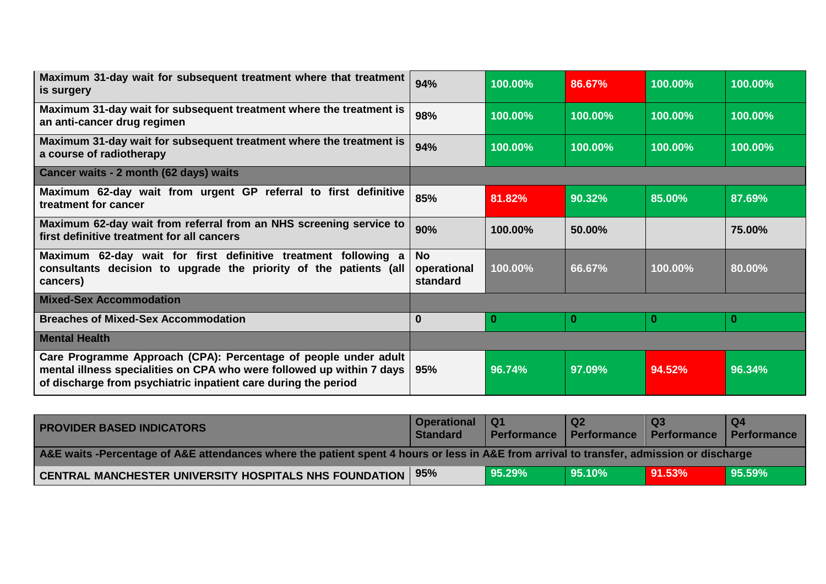| Maximum 31-day wait for subsequent treatment where that treatment<br>is surgery                                                                                                                            | 94%                                  | 100.00% | 86.67%   | 100.00% | 100.00%  |
|------------------------------------------------------------------------------------------------------------------------------------------------------------------------------------------------------------|--------------------------------------|---------|----------|---------|----------|
| Maximum 31-day wait for subsequent treatment where the treatment is<br>an anti-cancer drug regimen                                                                                                         | 98%                                  | 100.00% | 100.00%  | 100.00% | 100.00%  |
| Maximum 31-day wait for subsequent treatment where the treatment is<br>a course of radiotherapy                                                                                                            | 94%                                  | 100.00% | 100.00%  | 100.00% | 100.00%  |
| Cancer waits - 2 month (62 days) waits                                                                                                                                                                     |                                      |         |          |         |          |
| Maximum 62-day wait from urgent GP referral to first definitive<br>treatment for cancer                                                                                                                    | 85%                                  | 81.82%  | 90.32%   | 85.00%  | 87.69%   |
| Maximum 62-day wait from referral from an NHS screening service to<br>first definitive treatment for all cancers                                                                                           | 90%                                  | 100.00% | 50.00%   |         | 75.00%   |
| Maximum 62-day wait for first definitive treatment following a<br>consultants decision to upgrade the priority of the patients (all<br>cancers)                                                            | <b>No</b><br>operational<br>standard | 100.00% | 66.67%   | 100.00% | 80.00%   |
| <b>Mixed-Sex Accommodation</b>                                                                                                                                                                             |                                      |         |          |         |          |
| <b>Breaches of Mixed-Sex Accommodation</b>                                                                                                                                                                 | $\bf{0}$                             | -0      | $\bf{0}$ | 0       | $\bf{0}$ |
| <b>Mental Health</b>                                                                                                                                                                                       |                                      |         |          |         |          |
| Care Programme Approach (CPA): Percentage of people under adult<br>mental illness specialities on CPA who were followed up within 7 days<br>of discharge from psychiatric inpatient care during the period | 95%                                  | 96.74%  | 97.09%   | 94.52%  | 96.34%   |

| <b>PROVIDER BASED INDICATORS</b>                                                                                                         | Operational<br><b>Standard</b> | l Q1<br>Performance   Performance | <b>Q2</b> | Performance   Performance | <b>O4</b> |  |  |
|------------------------------------------------------------------------------------------------------------------------------------------|--------------------------------|-----------------------------------|-----------|---------------------------|-----------|--|--|
| A&E waits -Percentage of A&E attendances where the patient spent 4 hours or less in A&E from arrival to transfer, admission or discharge |                                |                                   |           |                           |           |  |  |
| <b>CENTRAL MANCHESTER UNIVERSITY HOSPITALS NHS FOUNDATION</b>                                                                            | 95%                            | 95.29%                            | 95.10%    | $91.53\%$                 | 95.59%    |  |  |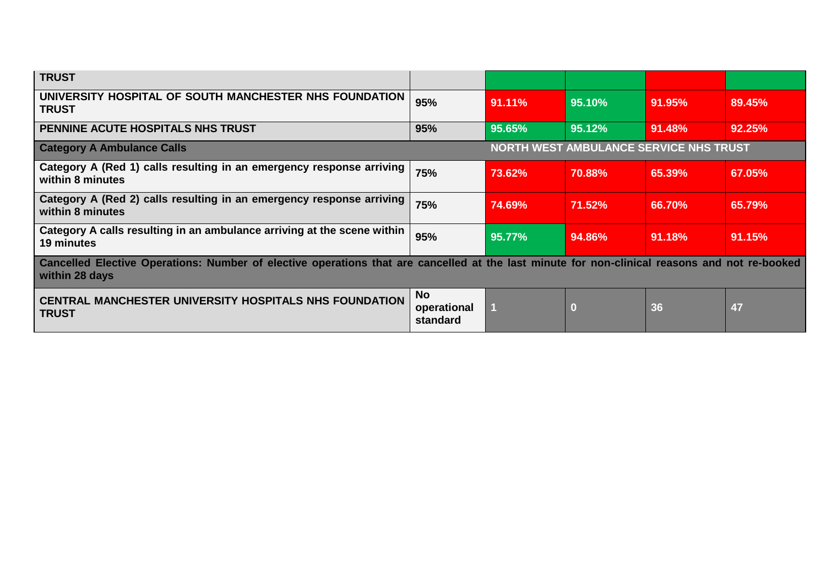| <b>TRUST</b>                                                                                                                                                    |                                               |        |        |           |        |  |  |
|-----------------------------------------------------------------------------------------------------------------------------------------------------------------|-----------------------------------------------|--------|--------|-----------|--------|--|--|
| UNIVERSITY HOSPITAL OF SOUTH MANCHESTER NHS FOUNDATION<br><b>TRUST</b>                                                                                          | 95%                                           | 91.11% | 95.10% | 91.95%    | 89.45% |  |  |
| PENNINE ACUTE HOSPITALS NHS TRUST                                                                                                                               | 95%                                           | 95.65% | 95.12% | 91.48%    | 92.25% |  |  |
| <b>Category A Ambulance Calls</b>                                                                                                                               | <b>NORTH WEST AMBULANCE SERVICE NHS TRUST</b> |        |        |           |        |  |  |
| Category A (Red 1) calls resulting in an emergency response arriving<br>within 8 minutes                                                                        | 75%                                           | 73.62% | 70.88% | 65.39%    | 67.05% |  |  |
| Category A (Red 2) calls resulting in an emergency response arriving<br>within 8 minutes                                                                        | 75%                                           | 74.69% | 71.52% | 66.70%    | 65.79% |  |  |
| Category A calls resulting in an ambulance arriving at the scene within<br>19 minutes                                                                           | 95%                                           | 95.77% | 94.86% | $91.18\%$ | 91.15% |  |  |
| Cancelled Elective Operations: Number of elective operations that are cancelled at the last minute for non-clinical reasons and not re-booked<br>within 28 days |                                               |        |        |           |        |  |  |
| <b>CENTRAL MANCHESTER UNIVERSITY HOSPITALS NHS FOUNDATION</b><br><b>TRUST</b>                                                                                   | <b>No</b><br>operational<br>standard          |        | O      | 36        | 47     |  |  |